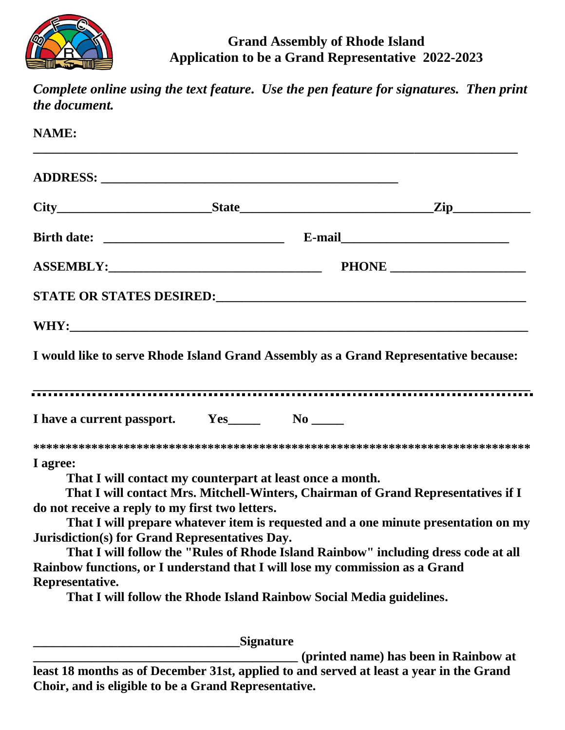

## **Grand Assembly of Rhode Island Application to be a Grand Representative 2022-2023**

| the document.                                                                                                                                                                                        |                                                                                                                                                                                                                                                                                                                                 | Complete online using the text feature. Use the pen feature for signatures. Then print |
|------------------------------------------------------------------------------------------------------------------------------------------------------------------------------------------------------|---------------------------------------------------------------------------------------------------------------------------------------------------------------------------------------------------------------------------------------------------------------------------------------------------------------------------------|----------------------------------------------------------------------------------------|
| <b>NAME:</b>                                                                                                                                                                                         |                                                                                                                                                                                                                                                                                                                                 |                                                                                        |
|                                                                                                                                                                                                      |                                                                                                                                                                                                                                                                                                                                 |                                                                                        |
|                                                                                                                                                                                                      |                                                                                                                                                                                                                                                                                                                                 | $City$ $City$ $Step$ $Step$ $Step$                                                     |
|                                                                                                                                                                                                      |                                                                                                                                                                                                                                                                                                                                 |                                                                                        |
|                                                                                                                                                                                                      | ASSEMBLY: 2000 PHONE 2000 PHONE                                                                                                                                                                                                                                                                                                 |                                                                                        |
|                                                                                                                                                                                                      |                                                                                                                                                                                                                                                                                                                                 |                                                                                        |
|                                                                                                                                                                                                      |                                                                                                                                                                                                                                                                                                                                 |                                                                                        |
|                                                                                                                                                                                                      | I would like to serve Rhode Island Grand Assembly as a Grand Representative because:                                                                                                                                                                                                                                            |                                                                                        |
|                                                                                                                                                                                                      |                                                                                                                                                                                                                                                                                                                                 |                                                                                        |
| I agree:<br>That I will contact my counterpart at least once a month.<br>do not receive a reply to my first two letters.<br><b>Jurisdiction(s) for Grand Representatives Day.</b><br>Representative. | That I will contact Mrs. Mitchell-Winters, Chairman of Grand Representatives if I<br>That I will follow the "Rules of Rhode Island Rainbow" including dress code at all<br>Rainbow functions, or I understand that I will lose my commission as a Grand<br>That I will follow the Rhode Island Rainbow Social Media guidelines. | That I will prepare whatever item is requested and a one minute presentation on my     |
|                                                                                                                                                                                                      | Signature                                                                                                                                                                                                                                                                                                                       |                                                                                        |
|                                                                                                                                                                                                      |                                                                                                                                                                                                                                                                                                                                 | (printed name) has been in Rainbow at                                                  |

**least 18 months as of December 31st, applied to and served at least a year in the Grand Choir, and is eligible to be a Grand Representative.**